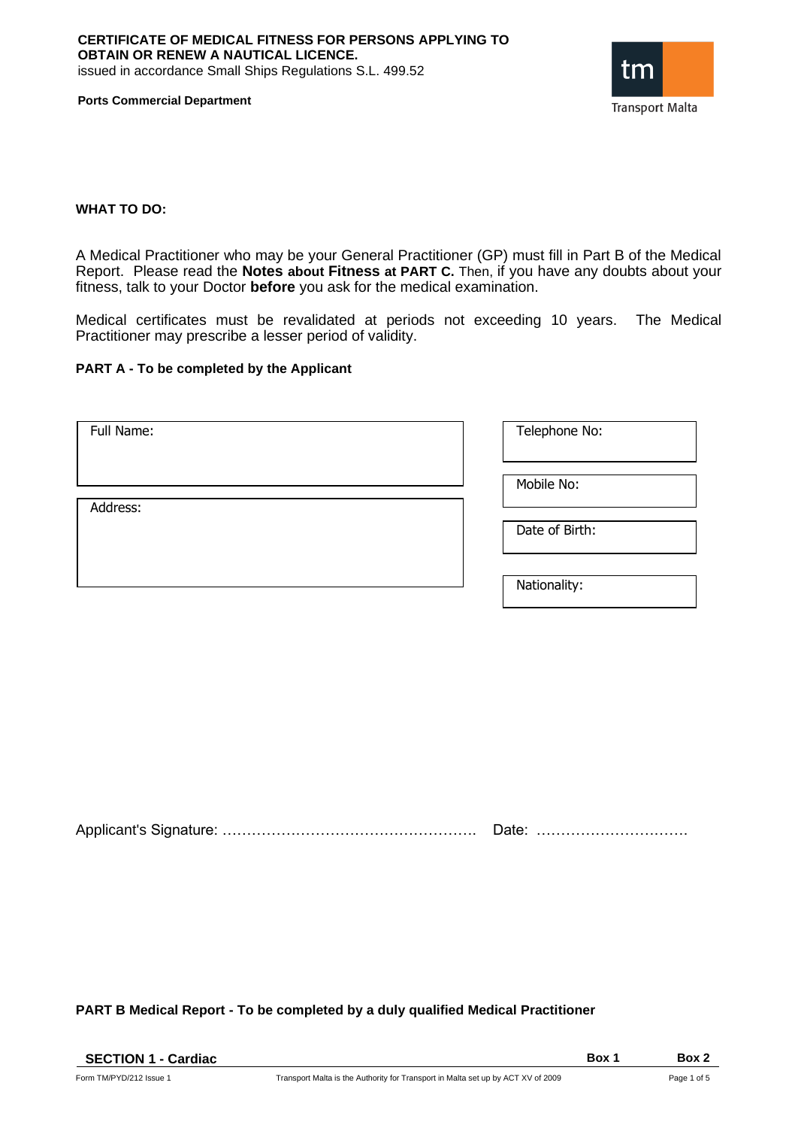

**Ports Commercial Department**

### **WHAT TO DO:**

A Medical Practitioner who may be your General Practitioner (GP) must fill in Part B of the Medical Report. Please read the **Notes about Fitness at PART C.** Then, if you have any doubts about your fitness, talk to your Doctor **before** you ask for the medical examination.

Medical certificates must be revalidated at periods not exceeding 10 years. The Medical Practitioner may prescribe a lesser period of validity.

## **PART A - To be completed by the Applicant**

| Full Name: | Telephone No:  |
|------------|----------------|
| Address:   | Mobile No:     |
|            | Date of Birth: |
|            | Nationality:   |

Applicant's Signature: ……………………………………………. Date: ………………………….

**PART B Medical Report - To be completed by a duly qualified Medical Practitioner**

| <b>SECTION 1 - Cardiac</b> |                                                                                  | <b>Box</b> | Box 2       |
|----------------------------|----------------------------------------------------------------------------------|------------|-------------|
| Form TM/PYD/212 Issue 1    | Transport Malta is the Authority for Transport in Malta set up by ACT XV of 2009 |            | Page 1 of 5 |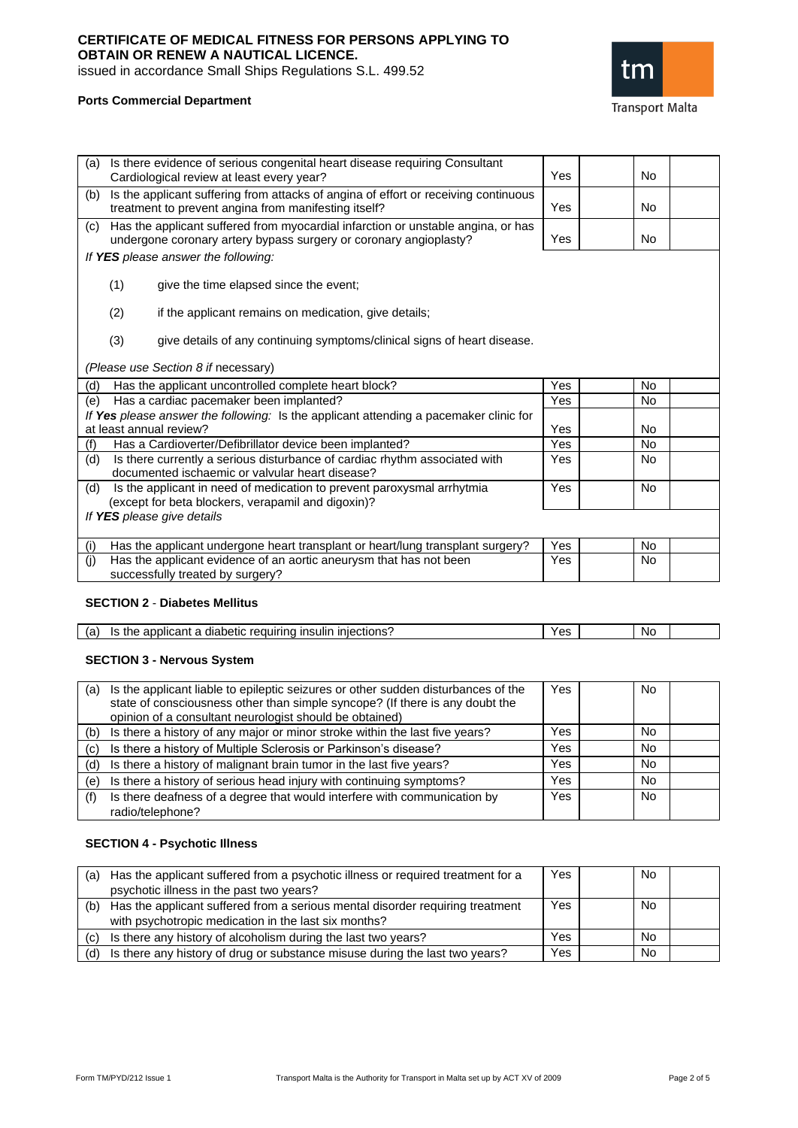# **CERTIFICATE OF MEDICAL FITNESS FOR PERSONS APPLYING TO OBTAIN OR RENEW A NAUTICAL LICENCE.**

issued in accordance Small Ships Regulations S.L. 499.52



## **Ports Commercial Department**

| (a) | Is there evidence of serious congenital heart disease requiring Consultant<br>Cardiological review at least every year?                               | Yes | <b>No</b> |  |
|-----|-------------------------------------------------------------------------------------------------------------------------------------------------------|-----|-----------|--|
| (b) | Is the applicant suffering from attacks of angina of effort or receiving continuous<br>treatment to prevent angina from manifesting itself?           | Yes | <b>No</b> |  |
| (c) | Has the applicant suffered from myocardial infarction or unstable angina, or has<br>undergone coronary artery bypass surgery or coronary angioplasty? | Yes | No.       |  |
|     | If YES please answer the following:                                                                                                                   |     |           |  |
|     | (1)<br>give the time elapsed since the event;                                                                                                         |     |           |  |
|     | (2)<br>if the applicant remains on medication, give details;                                                                                          |     |           |  |
|     | (3)<br>give details of any continuing symptoms/clinical signs of heart disease.                                                                       |     |           |  |
|     | (Please use Section 8 if necessary)                                                                                                                   |     |           |  |
| (d) | Has the applicant uncontrolled complete heart block?                                                                                                  | Yes | No        |  |
| (e) | Has a cardiac pacemaker been implanted?                                                                                                               | Yes | <b>No</b> |  |
|     | If Yes please answer the following: Is the applicant attending a pacemaker clinic for                                                                 |     |           |  |
|     | at least annual review?                                                                                                                               | Yes | No.       |  |
| (f) | Has a Cardioverter/Defibrillator device been implanted?                                                                                               | Yes | <b>No</b> |  |
| (d) | Is there currently a serious disturbance of cardiac rhythm associated with<br>documented ischaemic or valvular heart disease?                         | Yes | No        |  |
| (d) | Is the applicant in need of medication to prevent paroxysmal arrhytmia<br>(except for beta blockers, verapamil and digoxin)?                          | Yes | <b>No</b> |  |
|     | If YES please give details                                                                                                                            |     |           |  |
| (i) | Has the applicant undergone heart transplant or heart/lung transplant surgery?                                                                        | Yes | <b>No</b> |  |
| (i) | Has the applicant evidence of an aortic aneurysm that has not been                                                                                    | Yes | No        |  |
|     | successfully treated by surgery?                                                                                                                      |     |           |  |

### **SECTION 2** - **Diabetes Mellitus**

| iniections':<br>$rac{1}{2}$ radium $\cdots$<br>$\cdot$ ilir<br>יהומ<br>petic<br>ıc<br>:רור<br>ירי<br>лаг<br>um<br>.7111<br>.<br>-.<br>ιa<br>. . | c | N0 |  |
|-------------------------------------------------------------------------------------------------------------------------------------------------|---|----|--|

## **SECTION 3 - Nervous System**

| (a) | Is the applicant liable to epileptic seizures or other sudden disturbances of the<br>state of consciousness other than simple syncope? (If there is any doubt the<br>opinion of a consultant neurologist should be obtained) | Yes | No.       |  |
|-----|------------------------------------------------------------------------------------------------------------------------------------------------------------------------------------------------------------------------------|-----|-----------|--|
|     | (b) Is there a history of any major or minor stroke within the last five years?                                                                                                                                              | Yes | No.       |  |
|     | (c) Is there a history of Multiple Sclerosis or Parkinson's disease?                                                                                                                                                         | Yes | No.       |  |
|     | (d) Is there a history of malignant brain tumor in the last five years?                                                                                                                                                      | Yes | No.       |  |
| (e) | Is there a history of serious head injury with continuing symptoms?                                                                                                                                                          | Yes | <b>No</b> |  |
| (f) | Is there deafness of a degree that would interfere with communication by<br>radio/telephone?                                                                                                                                 | Yes | No.       |  |

## **SECTION 4 - Psychotic Illness**

| (a) | Has the applicant suffered from a psychotic illness or required treatment for a<br>psychotic illness in the past two years?           | Yes | No        |  |
|-----|---------------------------------------------------------------------------------------------------------------------------------------|-----|-----------|--|
| (b) | Has the applicant suffered from a serious mental disorder requiring treatment<br>with psychotropic medication in the last six months? | Yes | No.       |  |
|     | (c) Is there any history of alcoholism during the last two years?                                                                     | Yes | <b>No</b> |  |
| (d) | Is there any history of drug or substance misuse during the last two years?                                                           | Yes | <b>No</b> |  |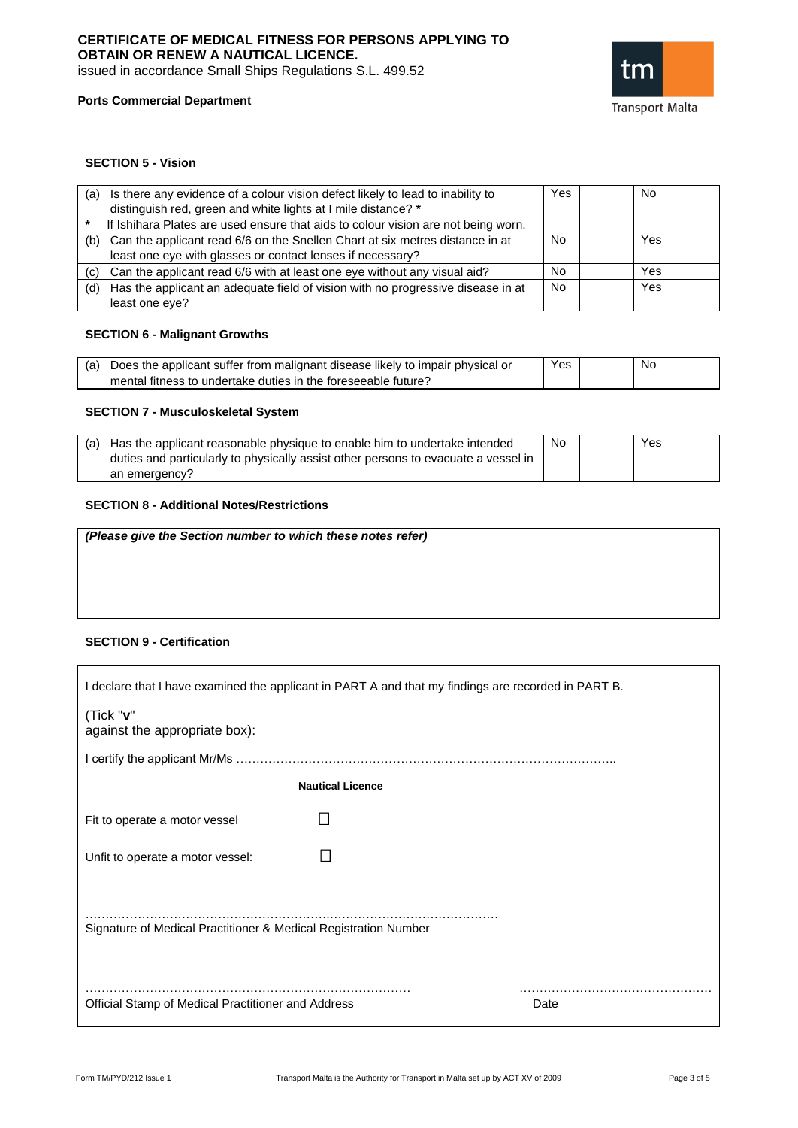# **CERTIFICATE OF MEDICAL FITNESS FOR PERSONS APPLYING TO OBTAIN OR RENEW A NAUTICAL LICENCE.**

issued in accordance Small Ships Regulations S.L. 499.52





### **SECTION 5 - Vision**

| (a) | Is there any evidence of a colour vision defect likely to lead to inability to<br>distinguish red, green and white lights at I mile distance? *<br>If Ishihara Plates are used ensure that aids to colour vision are not being worn. | Yes | No  |  |
|-----|--------------------------------------------------------------------------------------------------------------------------------------------------------------------------------------------------------------------------------------|-----|-----|--|
| (b) | Can the applicant read 6/6 on the Snellen Chart at six metres distance in at<br>least one eye with glasses or contact lenses if necessary?                                                                                           | No  | Yes |  |
|     | (c) Can the applicant read 6/6 with at least one eye without any visual aid?                                                                                                                                                         | No  | Yes |  |
| (d) | Has the applicant an adequate field of vision with no progressive disease in at<br>least one eye?                                                                                                                                    | No  | Yes |  |

### **SECTION 6 - Malignant Growths**

| (a) Does the applicant suffer from malignant disease likely to impair physical or | Yes | No |  |
|-----------------------------------------------------------------------------------|-----|----|--|
| mental fitness to undertake duties in the foreseeable future?                     |     |    |  |

### **SECTION 7 - Musculoskeletal System**

| Has the applicant reasonable physique to enable him to undertake intended          | No | Yes |  |
|------------------------------------------------------------------------------------|----|-----|--|
| duties and particularly to physically assist other persons to evacuate a vessel in |    |     |  |
| an emergency?                                                                      |    |     |  |

## **SECTION 8 - Additional Notes/Restrictions**

| (Please give the Section number to which these notes refer) |  |
|-------------------------------------------------------------|--|
|                                                             |  |
|                                                             |  |
|                                                             |  |

### **SECTION 9 - Certification**

| I declare that I have examined the applicant in PART A and that my findings are recorded in PART B. |
|-----------------------------------------------------------------------------------------------------|
| (Tick "v"<br>against the appropriate box):                                                          |
|                                                                                                     |
| <b>Nautical Licence</b>                                                                             |
| Fit to operate a motor vessel                                                                       |
| Unfit to operate a motor vessel:                                                                    |
| Signature of Medical Practitioner & Medical Registration Number                                     |
| Official Stamp of Medical Practitioner and Address<br>Date                                          |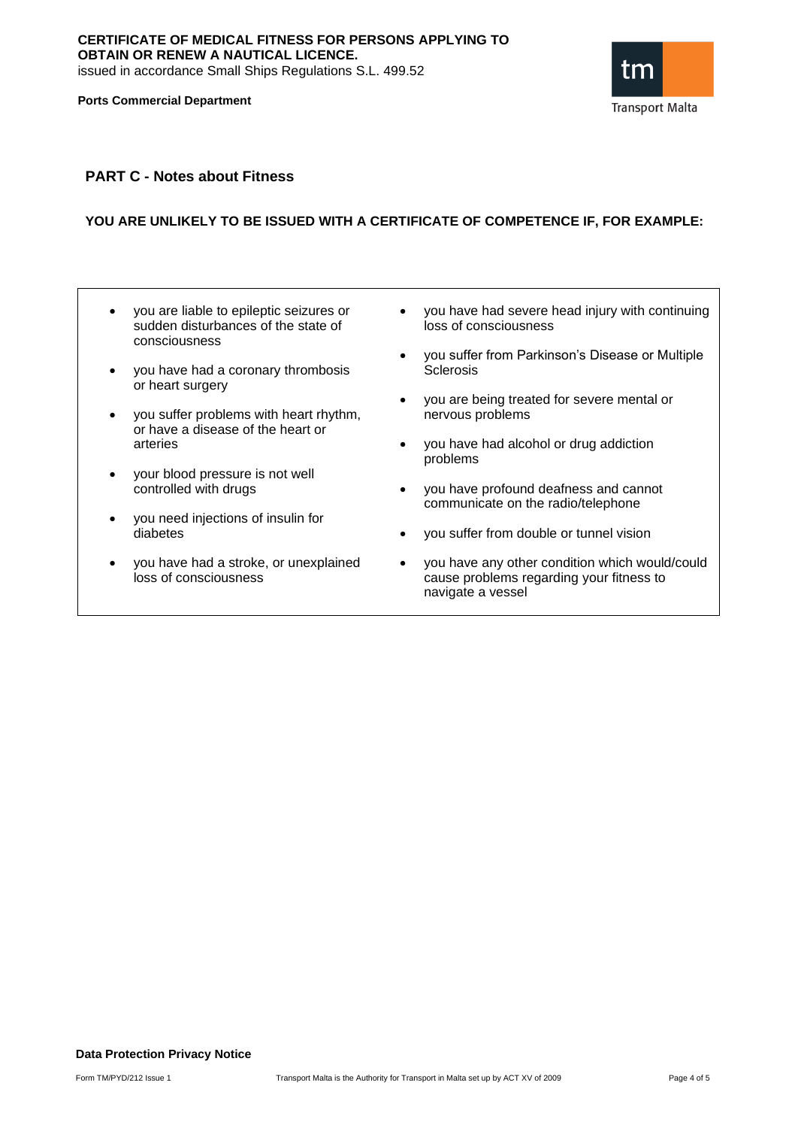**Ports Commercial Department**



## **PART C - Notes about Fitness**

## **YOU ARE UNLIKELY TO BE ISSUED WITH A CERTIFICATE OF COMPETENCE IF, FOR EXAMPLE:**

- you are liable to epileptic seizures or sudden disturbances of the state of consciousness
- you have had a coronary thrombosis or heart surgery
- you suffer problems with heart rhythm, or have a disease of the heart or arteries
- your blood pressure is not well controlled with drugs
- you need injections of insulin for diabetes
- you have had a stroke, or unexplained loss of consciousness
- you have had severe head injury with continuing loss of consciousness
- you suffer from Parkinson's Disease or Multiple **Sclerosis**
- you are being treated for severe mental or nervous problems
- you have had alcohol or drug addiction problems
- you have profound deafness and cannot communicate on the radio/telephone
- you suffer from double or tunnel vision
- you have any other condition which would/could cause problems regarding your fitness to navigate a vessel